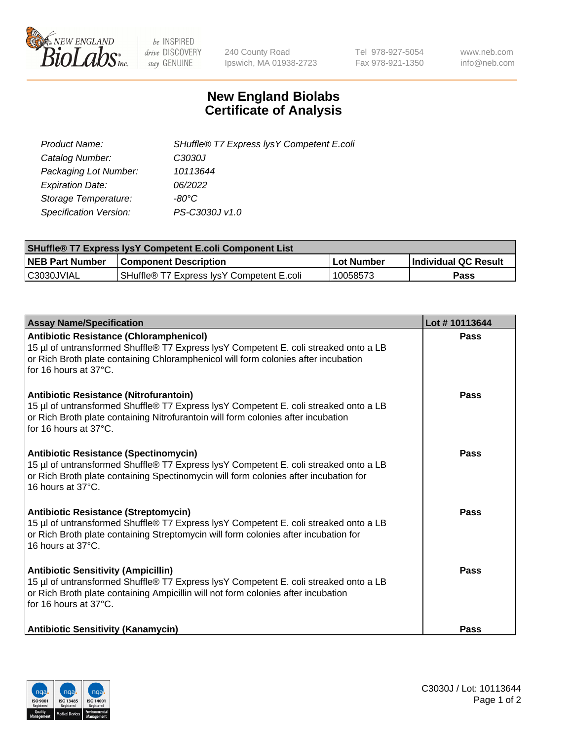

 $be$  INSPIRED drive DISCOVERY stay GENUINE

240 County Road Ipswich, MA 01938-2723 Tel 978-927-5054 Fax 978-921-1350 www.neb.com info@neb.com

## **New England Biolabs Certificate of Analysis**

| Product Name:           | SHuffle® T7 Express lysY Competent E.coli |
|-------------------------|-------------------------------------------|
| Catalog Number:         | C3030J                                    |
| Packaging Lot Number:   | 10113644                                  |
| <b>Expiration Date:</b> | 06/2022                                   |
| Storage Temperature:    | -80°C                                     |
| Specification Version:  | PS-C3030J v1.0                            |

| <b>SHuffle<sup>®</sup> T7 Express lysY Competent E.coli Component List</b> |                                           |              |                             |  |  |
|----------------------------------------------------------------------------|-------------------------------------------|--------------|-----------------------------|--|--|
| <b>NEB Part Number</b>                                                     | <b>Component Description</b>              | l Lot Number | <b>Individual QC Result</b> |  |  |
| C3030JVIAL                                                                 | SHuffle® T7 Express IvsY Competent E.coli | 10058573     | Pass                        |  |  |

| <b>Assay Name/Specification</b>                                                                                                                                                                                                                       | Lot #10113644 |
|-------------------------------------------------------------------------------------------------------------------------------------------------------------------------------------------------------------------------------------------------------|---------------|
| <b>Antibiotic Resistance (Chloramphenicol)</b><br>15 µl of untransformed Shuffle® T7 Express lysY Competent E. coli streaked onto a LB<br>or Rich Broth plate containing Chloramphenicol will form colonies after incubation<br>for 16 hours at 37°C. | Pass          |
| Antibiotic Resistance (Nitrofurantoin)<br>15 µl of untransformed Shuffle® T7 Express lysY Competent E. coli streaked onto a LB<br>or Rich Broth plate containing Nitrofurantoin will form colonies after incubation<br>for 16 hours at 37°C.          | Pass          |
| <b>Antibiotic Resistance (Spectinomycin)</b><br>15 µl of untransformed Shuffle® T7 Express lysY Competent E. coli streaked onto a LB<br>or Rich Broth plate containing Spectinomycin will form colonies after incubation for<br>16 hours at 37°C.     | <b>Pass</b>   |
| Antibiotic Resistance (Streptomycin)<br>15 µl of untransformed Shuffle® T7 Express lysY Competent E. coli streaked onto a LB<br>or Rich Broth plate containing Streptomycin will form colonies after incubation for<br>16 hours at 37°C.              | Pass          |
| <b>Antibiotic Sensitivity (Ampicillin)</b><br>15 µl of untransformed Shuffle® T7 Express lysY Competent E. coli streaked onto a LB<br>or Rich Broth plate containing Ampicillin will not form colonies after incubation<br>for 16 hours at 37°C.      | <b>Pass</b>   |
| <b>Antibiotic Sensitivity (Kanamycin)</b>                                                                                                                                                                                                             | Pass          |